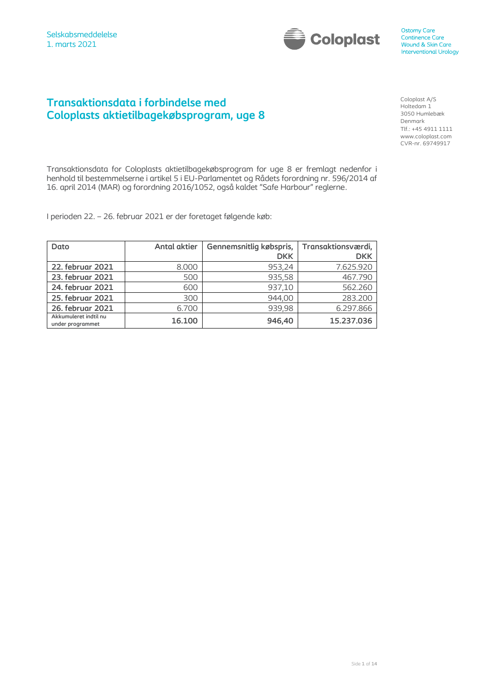

# **Transaktionsdata i forbindelse med Coloplasts aktietilbagekøbsprogram, uge 8**

Coloplast A/S Holtedam 1 3050 Humlebæk Denmark Tlf.: +45 4911 1111 www.coloplast.com CVR-nr. 69749917

Transaktionsdata for Coloplasts aktietilbagekøbsprogram for uge 8 er fremlagt nedenfor i henhold til bestemmelserne i artikel 5 i EU-Parlamentet og Rådets forordning nr. 596/2014 af 16. april 2014 (MAR) og forordning 2016/1052, også kaldet "Safe Harbour" reglerne.

I perioden 22. – 26. februar 2021 er der foretaget følgende køb:

| Dato                                      | <b>Antal aktier</b> | Gennemsnitlig købspris, | Transaktionsværdi, |
|-------------------------------------------|---------------------|-------------------------|--------------------|
|                                           |                     | <b>DKK</b>              | <b>DKK</b>         |
| 22. februar 2021                          | 8.000               | 953,24                  | 7.625.920          |
| 23. februar 2021                          | 500                 | 935,58                  | 467.790            |
| 24. februar 2021                          | 600                 | 937,10                  | 562,260            |
| 25. februar 2021                          | 300                 | 944,00                  | 283.200            |
| 26. februar 2021                          | 6.700               | 939,98                  | 6.297.866          |
| Akkumuleret indtil nu<br>under programmet | 16.100              | 946,40                  | 15.237.036         |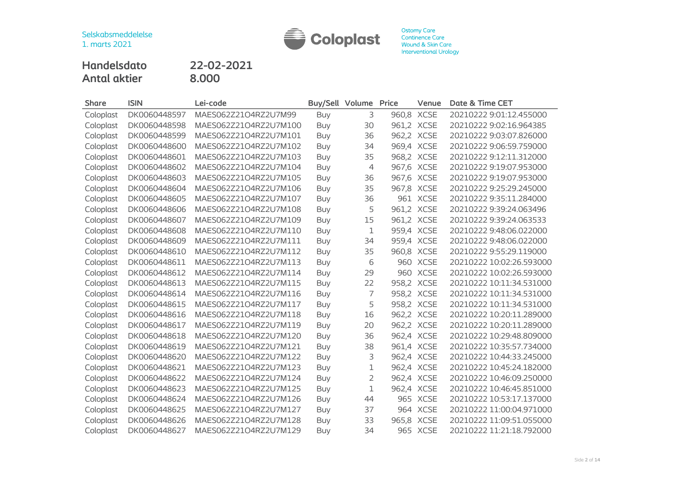

**Handelsdato 22-02-2021 Antal aktier 8.000**

| <b>Share</b> | <b>ISIN</b>  | Lei-code              | Buy/Sell Volume |                | Price | Venue       | Date & Time CET          |
|--------------|--------------|-----------------------|-----------------|----------------|-------|-------------|--------------------------|
| Coloplast    | DK0060448597 | MAES062Z21O4RZ2U7M99  | <b>Buy</b>      | 3              |       | 960,8 XCSE  | 20210222 9:01:12.455000  |
| Coloplast    | DK0060448598 | MAES062Z21O4RZ2U7M100 | Buy             | 30             |       | 961,2 XCSE  | 20210222 9:02:16.964385  |
| Coloplast    | DK0060448599 | MAES062Z21O4RZ2U7M101 | Buy             | 36             |       | 962,2 XCSE  | 20210222 9:03:07.826000  |
| Coloplast    | DK0060448600 | MAES062Z21O4RZ2U7M102 | Buy             | 34             |       | 969,4 XCSE  | 20210222 9:06:59.759000  |
| Coloplast    | DK0060448601 | MAES062Z21O4RZ2U7M103 | <b>Buy</b>      | 35             |       | 968,2 XCSE  | 20210222 9:12:11.312000  |
| Coloplast    | DK0060448602 | MAES062Z21O4RZ2U7M104 | Buy             | $\overline{4}$ |       | 967,6 XCSE  | 20210222 9:19:07.953000  |
| Coloplast    | DK0060448603 | MAES062Z21O4RZ2U7M105 | <b>Buy</b>      | 36             |       | 967,6 XCSE  | 20210222 9:19:07.953000  |
| Coloplast    | DK0060448604 | MAES062Z21O4RZ2U7M106 | Buy             | 35             |       | 967,8 XCSE  | 20210222 9:25:29.245000  |
| Coloplast    | DK0060448605 | MAES062Z21O4RZ2U7M107 | Buy             | 36             |       | 961 XCSE    | 20210222 9:35:11.284000  |
| Coloplast    | DK0060448606 | MAES062Z21O4RZ2U7M108 | Buy             | 5              |       | 961,2 XCSE  | 20210222 9:39:24.063496  |
| Coloplast    | DK0060448607 | MAES062Z21O4RZ2U7M109 | Buy             | 15             |       | 961,2 XCSE  | 20210222 9:39:24.063533  |
| Coloplast    | DK0060448608 | MAES062Z21O4RZ2U7M110 | <b>Buy</b>      | 1              |       | 959,4 XCSE  | 20210222 9:48:06.022000  |
| Coloplast    | DK0060448609 | MAES062Z21O4RZ2U7M111 | Buy             | 34             |       | 959,4 XCSE  | 20210222 9:48:06.022000  |
| Coloplast    | DK0060448610 | MAES062Z21O4RZ2U7M112 | <b>Buy</b>      | 35             |       | 960,8 XCSE  | 20210222 9:55:29.119000  |
| Coloplast    | DK0060448611 | MAES062Z21O4RZ2U7M113 | Buy             | 6              |       | 960 XCSE    | 20210222 10:02:26.593000 |
| Coloplast    | DK0060448612 | MAES062Z21O4RZ2U7M114 | Buy             | 29             |       | 960 XCSE    | 20210222 10:02:26.593000 |
| Coloplast    | DK0060448613 | MAES062Z21O4RZ2U7M115 | <b>Buy</b>      | 22             |       | 958,2 XCSE  | 20210222 10:11:34.531000 |
| Coloplast    | DK0060448614 | MAES062Z21O4RZ2U7M116 | <b>Buy</b>      | 7              |       | 958,2 XCSE  | 20210222 10:11:34.531000 |
| Coloplast    | DK0060448615 | MAES062Z21O4RZ2U7M117 | <b>Buy</b>      | 5              |       | 958,2 XCSE  | 20210222 10:11:34.531000 |
| Coloplast    | DK0060448616 | MAES062Z21O4RZ2U7M118 | <b>Buy</b>      | 16             |       | 962,2 XCSE  | 20210222 10:20:11.289000 |
| Coloplast    | DK0060448617 | MAES062Z21O4RZ2U7M119 | Buy             | 20             |       | 962,2 XCSE  | 20210222 10:20:11.289000 |
| Coloplast    | DK0060448618 | MAES062Z21O4RZ2U7M120 | Buy             | 36             |       | 962,4 XCSE  | 20210222 10:29:48.809000 |
| Coloplast    | DK0060448619 | MAES062Z21O4RZ2U7M121 | <b>Buy</b>      | 38             |       | 961,4 XCSE  | 20210222 10:35:57.734000 |
| Coloplast    | DK0060448620 | MAES062Z21O4RZ2U7M122 | <b>Buy</b>      | 3              |       | 962,4 XCSE  | 20210222 10:44:33.245000 |
| Coloplast    | DK0060448621 | MAES062Z21O4RZ2U7M123 | Buy             | $\mathbf 1$    |       | 962,4 XCSE  | 20210222 10:45:24.182000 |
| Coloplast    | DK0060448622 | MAES062Z21O4RZ2U7M124 | <b>Buy</b>      | $\overline{2}$ |       | 962,4 XCSE  | 20210222 10:46:09.250000 |
| Coloplast    | DK0060448623 | MAES062Z21O4RZ2U7M125 | Buy             | $\mathbf{1}$   |       | 962,4 XCSE  | 20210222 10:46:45.851000 |
| Coloplast    | DK0060448624 | MAES062Z21O4RZ2U7M126 | Buy             | 44             |       | 965 XCSE    | 20210222 10:53:17.137000 |
| Coloplast    | DK0060448625 | MAES062Z21O4RZ2U7M127 | <b>Buy</b>      | 37             |       | 964 XCSE    | 20210222 11:00:04.971000 |
| Coloplast    | DK0060448626 | MAES062Z21O4RZ2U7M128 | <b>Buy</b>      | 33             | 965,8 | <b>XCSE</b> | 20210222 11:09:51.055000 |
| Coloplast    | DK0060448627 | MAES062Z21O4RZ2U7M129 | Buy             | 34             |       | 965 XCSE    | 20210222 11:21:18.792000 |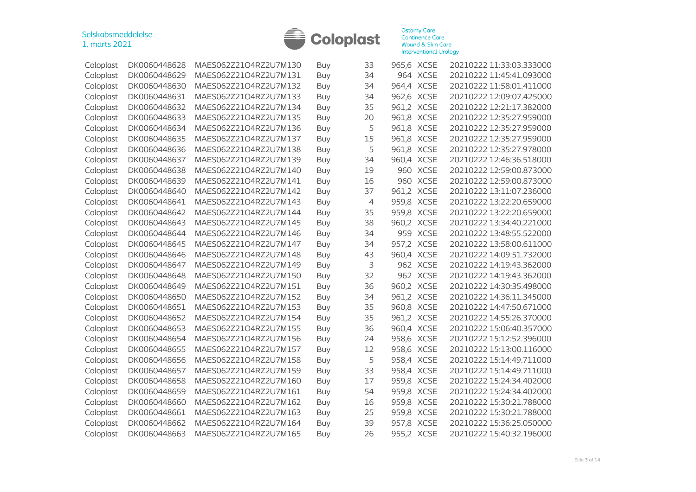

| Coloplast | DK0060448628 | MAES062Z21O4RZ2U7M130 | Buy        | 33             | 965,6 XCSE |             | 20210222 11:33:03.333000 |
|-----------|--------------|-----------------------|------------|----------------|------------|-------------|--------------------------|
| Coloplast | DK0060448629 | MAES062Z21O4RZ2U7M131 | Buy        | 34             |            | 964 XCSE    | 20210222 11:45:41.093000 |
| Coloplast | DK0060448630 | MAES062Z21O4RZ2U7M132 | Buy        | 34             | 964,4      | <b>XCSE</b> | 20210222 11:58:01.411000 |
| Coloplast | DK0060448631 | MAES062Z21O4RZ2U7M133 | <b>Buy</b> | 34             | 962,6 XCSE |             | 20210222 12:09:07.425000 |
| Coloplast | DK0060448632 | MAES062Z21O4RZ2U7M134 | <b>Buy</b> | 35             | 961,2 XCSE |             | 20210222 12:21:17.382000 |
| Coloplast | DK0060448633 | MAES062Z21O4RZ2U7M135 | <b>Buy</b> | 20             | 961,8 XCSE |             | 20210222 12:35:27.959000 |
| Coloplast | DK0060448634 | MAES062Z21O4RZ2U7M136 | Buy        | 5              | 961,8 XCSE |             | 20210222 12:35:27.959000 |
| Coloplast | DK0060448635 | MAES062Z21O4RZ2U7M137 | Buy        | 15             | 961,8 XCSE |             | 20210222 12:35:27.959000 |
| Coloplast | DK0060448636 | MAES062Z21O4RZ2U7M138 | <b>Buy</b> | 5              | 961,8      | <b>XCSE</b> | 20210222 12:35:27.978000 |
| Coloplast | DK0060448637 | MAES062Z21O4RZ2U7M139 | <b>Buy</b> | 34             | 960,4      | <b>XCSE</b> | 20210222 12:46:36.518000 |
| Coloplast | DK0060448638 | MAES062Z21O4RZ2U7M140 | <b>Buy</b> | 19             |            | 960 XCSE    | 20210222 12:59:00.873000 |
| Coloplast | DK0060448639 | MAES062Z21O4RZ2U7M141 | <b>Buy</b> | 16             | 960        | <b>XCSE</b> | 20210222 12:59:00.873000 |
| Coloplast | DK0060448640 | MAES062Z21O4RZ2U7M142 | <b>Buy</b> | 37             | 961,2      | <b>XCSE</b> | 20210222 13:11:07.236000 |
| Coloplast | DK0060448641 | MAES062Z21O4RZ2U7M143 | Buy        | $\overline{4}$ | 959,8      | <b>XCSE</b> | 20210222 13:22:20.659000 |
| Coloplast | DK0060448642 | MAES062Z21O4RZ2U7M144 | Buy        | 35             | 959,8      | <b>XCSE</b> | 20210222 13:22:20.659000 |
| Coloplast | DK0060448643 | MAES062Z21O4RZ2U7M145 | <b>Buy</b> | 38             | 960,2      | <b>XCSE</b> | 20210222 13:34:40.221000 |
| Coloplast | DK0060448644 | MAES062Z21O4RZ2U7M146 | <b>Buy</b> | 34             |            | 959 XCSE    | 20210222 13:48:55.522000 |
| Coloplast | DK0060448645 | MAES062Z21O4RZ2U7M147 | <b>Buy</b> | 34             | 957,2      | <b>XCSE</b> | 20210222 13:58:00.611000 |
| Coloplast | DK0060448646 | MAES062Z21O4RZ2U7M148 | <b>Buy</b> | 43             | 960,4      | <b>XCSE</b> | 20210222 14:09:51.732000 |
| Coloplast | DK0060448647 | MAES062Z21O4RZ2U7M149 | <b>Buy</b> | 3              |            | 962 XCSE    | 20210222 14:19:43.362000 |
| Coloplast | DK0060448648 | MAES062Z21O4RZ2U7M150 | Buy        | 32             |            | 962 XCSE    | 20210222 14:19:43.362000 |
| Coloplast | DK0060448649 | MAES062Z21O4RZ2U7M151 | Buy        | 36             | 960,2      | <b>XCSE</b> | 20210222 14:30:35.498000 |
| Coloplast | DK0060448650 | MAES062Z21O4RZ2U7M152 | <b>Buy</b> | 34             | 961,2      | <b>XCSE</b> | 20210222 14:36:11.345000 |
| Coloplast | DK0060448651 | MAES062Z21O4RZ2U7M153 | <b>Buy</b> | 35             | 960,8      | <b>XCSE</b> | 20210222 14:47:50.671000 |
| Coloplast | DK0060448652 | MAES062Z21O4RZ2U7M154 | <b>Buy</b> | 35             | 961,2 XCSE |             | 20210222 14:55:26.370000 |
| Coloplast | DK0060448653 | MAES062Z21O4RZ2U7M155 | <b>Buy</b> | 36             | 960,4      | <b>XCSE</b> | 20210222 15:06:40.357000 |
| Coloplast | DK0060448654 | MAES062Z21O4RZ2U7M156 | <b>Buy</b> | 24             | 958,6 XCSE |             | 20210222 15:12:52.396000 |
| Coloplast | DK0060448655 | MAES062Z21O4RZ2U7M157 | Buy        | 12             | 958,6 XCSE |             | 20210222 15:13:00.116000 |
| Coloplast | DK0060448656 | MAES062Z21O4RZ2U7M158 | <b>Buy</b> | 5              | 958,4 XCSE |             | 20210222 15:14:49.711000 |
| Coloplast | DK0060448657 | MAES062Z21O4RZ2U7M159 | <b>Buy</b> | 33             | 958,4 XCSE |             | 20210222 15:14:49.711000 |
| Coloplast | DK0060448658 | MAES062Z21O4RZ2U7M160 | <b>Buy</b> | 17             | 959,8 XCSE |             | 20210222 15:24:34.402000 |
| Coloplast | DK0060448659 | MAES062Z21O4RZ2U7M161 | <b>Buy</b> | 54             | 959,8 XCSE |             | 20210222 15:24:34.402000 |
| Coloplast | DK0060448660 | MAES062Z21O4RZ2U7M162 | <b>Buy</b> | 16             | 959,8 XCSE |             | 20210222 15:30:21.788000 |
| Coloplast | DK0060448661 | MAES062Z21O4RZ2U7M163 | <b>Buy</b> | 25             | 959,8 XCSE |             | 20210222 15:30:21.788000 |
| Coloplast | DK0060448662 | MAES062Z21O4RZ2U7M164 | Buy        | 39             | 957,8 XCSE |             | 20210222 15:36:25.050000 |
| Coloplast | DK0060448663 | MAES062Z21O4RZ2U7M165 | Buy        | 26             | 955,2 XCSE |             | 20210222 15:40:32.196000 |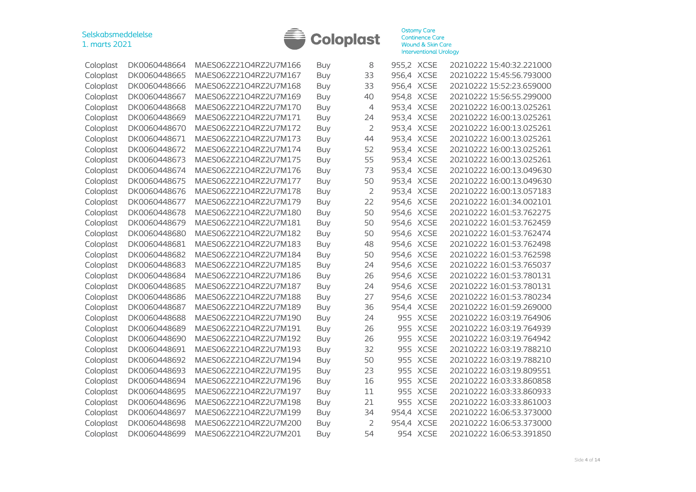

| Coloplast | DK0060448664 | MAES062Z21O4RZ2U7M166 | Buy        | 8              | 955,2 XCSE |             | 20210222 15:40:32.221000 |
|-----------|--------------|-----------------------|------------|----------------|------------|-------------|--------------------------|
| Coloplast | DK0060448665 | MAES062Z21O4RZ2U7M167 | Buy        | 33             | 956,4 XCSE |             | 20210222 15:45:56.793000 |
| Coloplast | DK0060448666 | MAES062Z21O4RZ2U7M168 | <b>Buy</b> | 33             | 956,4 XCSE |             | 20210222 15:52:23.659000 |
| Coloplast | DK0060448667 | MAES062Z21O4RZ2U7M169 | <b>Buy</b> | 40             | 954,8 XCSE |             | 20210222 15:56:55.299000 |
| Coloplast | DK0060448668 | MAES062Z21O4RZ2U7M170 | <b>Buy</b> | 4              | 953,4 XCSE |             | 20210222 16:00:13.025261 |
| Coloplast | DK0060448669 | MAES062Z21O4RZ2U7M171 | <b>Buy</b> | 24             | 953,4 XCSE |             | 20210222 16:00:13.025261 |
| Coloplast | DK0060448670 | MAES062Z21O4RZ2U7M172 | <b>Buy</b> | $\overline{2}$ | 953,4 XCSE |             | 20210222 16:00:13.025261 |
| Coloplast | DK0060448671 | MAES062Z21O4RZ2U7M173 | Buy        | 44             | 953,4 XCSE |             | 20210222 16:00:13.025261 |
| Coloplast | DK0060448672 | MAES062Z21O4RZ2U7M174 | <b>Buy</b> | 52             | 953,4 XCSE |             | 20210222 16:00:13.025261 |
| Coloplast | DK0060448673 | MAES062Z21O4RZ2U7M175 | <b>Buy</b> | 55             | 953,4 XCSE |             | 20210222 16:00:13.025261 |
| Coloplast | DK0060448674 | MAES062Z21O4RZ2U7M176 | <b>Buy</b> | 73             | 953,4      | <b>XCSE</b> | 20210222 16:00:13.049630 |
| Coloplast | DK0060448675 | MAES062Z21O4RZ2U7M177 | Buy        | 50             | 953,4      | <b>XCSE</b> | 20210222 16:00:13.049630 |
| Coloplast | DK0060448676 | MAES062Z21O4RZ2U7M178 | Buy        | $\overline{2}$ | 953,4      | <b>XCSE</b> | 20210222 16:00:13.057183 |
| Coloplast | DK0060448677 | MAES062Z21O4RZ2U7M179 | <b>Buy</b> | 22             | 954,6      | <b>XCSE</b> | 20210222 16:01:34.002101 |
| Coloplast | DK0060448678 | MAES062Z21O4RZ2U7M180 | <b>Buy</b> | 50             | 954,6      | <b>XCSE</b> | 20210222 16:01:53.762275 |
| Coloplast | DK0060448679 | MAES062Z21O4RZ2U7M181 | <b>Buy</b> | 50             | 954,6      | <b>XCSE</b> | 20210222 16:01:53.762459 |
| Coloplast | DK0060448680 | MAES062Z21O4RZ2U7M182 | <b>Buy</b> | 50             | 954,6 XCSE |             | 20210222 16:01:53.762474 |
| Coloplast | DK0060448681 | MAES062Z21O4RZ2U7M183 | Buy        | 48             | 954,6      | <b>XCSE</b> | 20210222 16:01:53.762498 |
| Coloplast | DK0060448682 | MAES062Z21O4RZ2U7M184 | Buy        | 50             | 954,6 XCSE |             | 20210222 16:01:53.762598 |
| Coloplast | DK0060448683 | MAES062Z21O4RZ2U7M185 | <b>Buy</b> | 24             | 954,6      | <b>XCSE</b> | 20210222 16:01:53.765037 |
| Coloplast | DK0060448684 | MAES062Z21O4RZ2U7M186 | <b>Buy</b> | 26             | 954,6      | <b>XCSE</b> | 20210222 16:01:53.780131 |
| Coloplast | DK0060448685 | MAES062Z21O4RZ2U7M187 | <b>Buy</b> | 24             | 954,6      | <b>XCSE</b> | 20210222 16:01:53.780131 |
| Coloplast | DK0060448686 | MAES062Z21O4RZ2U7M188 | <b>Buy</b> | 27             | 954,6      | <b>XCSE</b> | 20210222 16:01:53.780234 |
| Coloplast | DK0060448687 | MAES062Z21O4RZ2U7M189 | <b>Buy</b> | 36             | 954,4      | <b>XCSE</b> | 20210222 16:01:59.269000 |
| Coloplast | DK0060448688 | MAES062Z21O4RZ2U7M190 | <b>Buy</b> | 24             | 955        | <b>XCSE</b> | 20210222 16:03:19.764906 |
| Coloplast | DK0060448689 | MAES062Z21O4RZ2U7M191 | <b>Buy</b> | 26             | 955        | <b>XCSE</b> | 20210222 16:03:19.764939 |
| Coloplast | DK0060448690 | MAES062Z21O4RZ2U7M192 | <b>Buy</b> | 26             | 955        | <b>XCSE</b> | 20210222 16:03:19.764942 |
| Coloplast | DK0060448691 | MAES062Z21O4RZ2U7M193 | <b>Buy</b> | 32             | 955        | <b>XCSE</b> | 20210222 16:03:19.788210 |
| Coloplast | DK0060448692 | MAES062Z21O4RZ2U7M194 | <b>Buy</b> | 50             | 955        | <b>XCSE</b> | 20210222 16:03:19.788210 |
| Coloplast | DK0060448693 | MAES062Z21O4RZ2U7M195 | Buy        | 23             | 955        | <b>XCSE</b> | 20210222 16:03:19.809551 |
| Coloplast | DK0060448694 | MAES062Z21O4RZ2U7M196 | <b>Buy</b> | 16             | 955        | <b>XCSE</b> | 20210222 16:03:33.860858 |
| Coloplast | DK0060448695 | MAES062Z21O4RZ2U7M197 | <b>Buy</b> | 11             |            | 955 XCSE    | 20210222 16:03:33.860933 |
| Coloplast | DK0060448696 | MAES062Z21O4RZ2U7M198 | <b>Buy</b> | 21             | 955        | <b>XCSE</b> | 20210222 16:03:33.861003 |
| Coloplast | DK0060448697 | MAES062Z21O4RZ2U7M199 | <b>Buy</b> | 34             | 954,4      | <b>XCSE</b> | 20210222 16:06:53.373000 |
| Coloplast | DK0060448698 | MAES062Z21O4RZ2U7M200 | Buy        | 2              | 954,4      | <b>XCSE</b> | 20210222 16:06:53.373000 |
| Coloplast | DK0060448699 | MAES062Z21O4RZ2U7M201 | Buy        | 54             |            | 954 XCSE    | 20210222 16:06:53.391850 |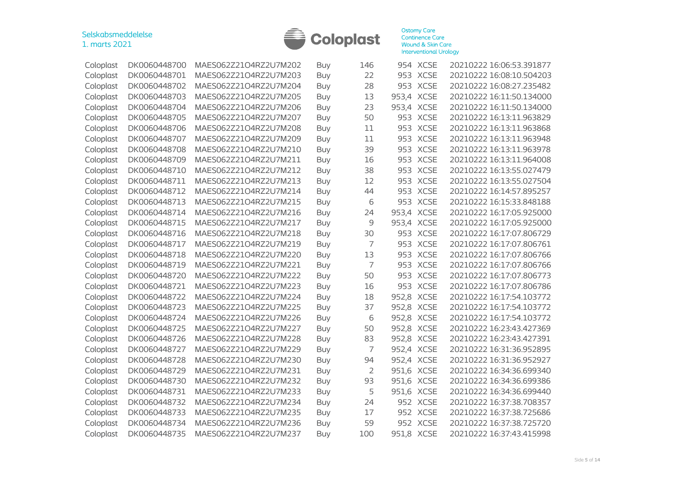

| Coloplast | DK0060448700 | MAES062Z21O4RZ2U7M202 | Buy        | 146            | 954        | <b>XCSE</b> | 20210222 16:06:53.391877 |
|-----------|--------------|-----------------------|------------|----------------|------------|-------------|--------------------------|
| Coloplast | DK0060448701 | MAES062Z21O4RZ2U7M203 | Buy        | 22             | 953        | <b>XCSE</b> | 20210222 16:08:10.504203 |
| Coloplast | DK0060448702 | MAES062Z21O4RZ2U7M204 | Buy        | 28             | 953        | <b>XCSE</b> | 20210222 16:08:27.235482 |
| Coloplast | DK0060448703 | MAES062Z21O4RZ2U7M205 | <b>Buy</b> | 13             | 953,4      | <b>XCSE</b> | 20210222 16:11:50.134000 |
| Coloplast | DK0060448704 | MAES062Z21O4RZ2U7M206 | <b>Buy</b> | 23             | 953,4      | <b>XCSE</b> | 20210222 16:11:50.134000 |
| Coloplast | DK0060448705 | MAES062Z21O4RZ2U7M207 | <b>Buy</b> | 50             | 953        | <b>XCSE</b> | 20210222 16:13:11.963829 |
| Coloplast | DK0060448706 | MAES062Z21O4RZ2U7M208 | <b>Buy</b> | 11             | 953        | <b>XCSE</b> | 20210222 16:13:11.963868 |
| Coloplast | DK0060448707 | MAES062Z21O4RZ2U7M209 | <b>Buy</b> | 11             | 953        | <b>XCSE</b> | 20210222 16:13:11.963948 |
| Coloplast | DK0060448708 | MAES062Z21O4RZ2U7M210 | <b>Buy</b> | 39             | 953        | <b>XCSE</b> | 20210222 16:13:11.963978 |
| Coloplast | DK0060448709 | MAES062Z21O4RZ2U7M211 | <b>Buy</b> | 16             | 953        | <b>XCSE</b> | 20210222 16:13:11.964008 |
| Coloplast | DK0060448710 | MAES062Z21O4RZ2U7M212 | Buy        | 38             | 953        | <b>XCSE</b> | 20210222 16:13:55.027479 |
| Coloplast | DK0060448711 | MAES062Z21O4RZ2U7M213 | Buy        | 12             | 953        | <b>XCSE</b> | 20210222 16:13:55.027504 |
| Coloplast | DK0060448712 | MAES062Z21O4RZ2U7M214 | <b>Buy</b> | 44             | 953        | <b>XCSE</b> | 20210222 16:14:57.895257 |
| Coloplast | DK0060448713 | MAES062Z21O4RZ2U7M215 | Buy        | 6              | 953        | <b>XCSE</b> | 20210222 16:15:33.848188 |
| Coloplast | DK0060448714 | MAES062Z21O4RZ2U7M216 | <b>Buy</b> | 24             | 953,4      | <b>XCSE</b> | 20210222 16:17:05.925000 |
| Coloplast | DK0060448715 | MAES062Z21O4RZ2U7M217 | <b>Buy</b> | 9              | 953,4      | <b>XCSE</b> | 20210222 16:17:05.925000 |
| Coloplast | DK0060448716 | MAES062Z21O4RZ2U7M218 | <b>Buy</b> | 30             | 953        | <b>XCSE</b> | 20210222 16:17:07.806729 |
| Coloplast | DK0060448717 | MAES062Z21O4RZ2U7M219 | <b>Buy</b> | $\overline{7}$ | 953        | <b>XCSE</b> | 20210222 16:17:07.806761 |
| Coloplast | DK0060448718 | MAES062Z21O4RZ2U7M220 | <b>Buy</b> | 13             | 953        | <b>XCSE</b> | 20210222 16:17:07.806766 |
| Coloplast | DK0060448719 | MAES062Z21O4RZ2U7M221 | <b>Buy</b> | 7              | 953        | <b>XCSE</b> | 20210222 16:17:07.806766 |
| Coloplast | DK0060448720 | MAES062Z21O4RZ2U7M222 | <b>Buy</b> | 50             | 953        | <b>XCSE</b> | 20210222 16:17:07.806773 |
| Coloplast | DK0060448721 | MAES062Z21O4RZ2U7M223 | <b>Buy</b> | 16             | 953        | <b>XCSE</b> | 20210222 16:17:07.806786 |
| Coloplast | DK0060448722 | MAES062Z21O4RZ2U7M224 | <b>Buy</b> | 18             | 952,8      | <b>XCSE</b> | 20210222 16:17:54.103772 |
| Coloplast | DK0060448723 | MAES062Z21O4RZ2U7M225 | <b>Buy</b> | 37             | 952,8      | <b>XCSE</b> | 20210222 16:17:54.103772 |
| Coloplast | DK0060448724 | MAES062Z21O4RZ2U7M226 | <b>Buy</b> | 6              | 952,8      | <b>XCSE</b> | 20210222 16:17:54.103772 |
| Coloplast | DK0060448725 | MAES062Z21O4RZ2U7M227 | <b>Buy</b> | 50             | 952,8      | <b>XCSE</b> | 20210222 16:23:43.427369 |
| Coloplast | DK0060448726 | MAES062Z21O4RZ2U7M228 | <b>Buy</b> | 83             | 952,8      | <b>XCSE</b> | 20210222 16:23:43.427391 |
| Coloplast | DK0060448727 | MAES062Z21O4RZ2U7M229 | <b>Buy</b> | $\overline{7}$ | 952,4      | <b>XCSE</b> | 20210222 16:31:36.952895 |
| Coloplast | DK0060448728 | MAES062Z21O4RZ2U7M230 | <b>Buy</b> | 94             | 952,4      | <b>XCSE</b> | 20210222 16:31:36.952927 |
| Coloplast | DK0060448729 | MAES062Z21O4RZ2U7M231 | <b>Buy</b> | $\overline{2}$ | 951,6      | <b>XCSE</b> | 20210222 16:34:36.699340 |
| Coloplast | DK0060448730 | MAES062Z21O4RZ2U7M232 | <b>Buy</b> | 93             | 951,6      | <b>XCSE</b> | 20210222 16:34:36.699386 |
| Coloplast | DK0060448731 | MAES062Z21O4RZ2U7M233 | <b>Buy</b> | 5              | 951,6      | <b>XCSE</b> | 20210222 16:34:36.699440 |
| Coloplast | DK0060448732 | MAES062Z21O4RZ2U7M234 | <b>Buy</b> | 24             |            | 952 XCSE    | 20210222 16:37:38.708357 |
| Coloplast | DK0060448733 | MAES062Z21O4RZ2U7M235 | Buy        | 17             |            | 952 XCSE    | 20210222 16:37:38.725686 |
| Coloplast | DK0060448734 | MAES062Z21O4RZ2U7M236 | Buy        | 59             |            | 952 XCSE    | 20210222 16:37:38.725720 |
| Coloplast | DK0060448735 | MAES062Z21O4RZ2U7M237 | <b>Buy</b> | 100            | 951,8 XCSE |             | 20210222 16:37:43.415998 |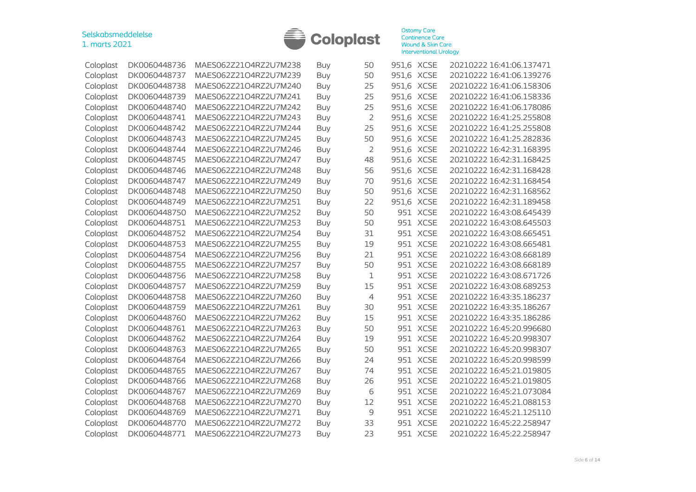

| Coloplast | DK0060448736 | MAES062Z21O4RZ2U7M238 | <b>Buy</b> | 50             | 951,6 XCSE |             | 20210222 16:41:06.137471 |
|-----------|--------------|-----------------------|------------|----------------|------------|-------------|--------------------------|
| Coloplast | DK0060448737 | MAES062Z21O4RZ2U7M239 | <b>Buy</b> | 50             | 951,6 XCSE |             | 20210222 16:41:06.139276 |
| Coloplast | DK0060448738 | MAES062Z21O4RZ2U7M240 | <b>Buy</b> | 25             | 951,6      | <b>XCSE</b> | 20210222 16:41:06.158306 |
| Coloplast | DK0060448739 | MAES062Z21O4RZ2U7M241 | Buy        | 25             | 951,6      | <b>XCSE</b> | 20210222 16:41:06.158336 |
| Coloplast | DK0060448740 | MAES062Z21O4RZ2U7M242 | <b>Buy</b> | 25             | 951,6 XCSE |             | 20210222 16:41:06.178086 |
| Coloplast | DK0060448741 | MAES062Z21O4RZ2U7M243 | <b>Buy</b> | $\overline{2}$ | 951,6 XCSE |             | 20210222 16:41:25.255808 |
| Coloplast | DK0060448742 | MAES062Z21O4RZ2U7M244 | <b>Buy</b> | 25             | 951,6 XCSE |             | 20210222 16:41:25.255808 |
| Coloplast | DK0060448743 | MAES062Z21O4RZ2U7M245 | <b>Buy</b> | 50             | 951,6 XCSE |             | 20210222 16:41:25.282836 |
| Coloplast | DK0060448744 | MAES062Z21O4RZ2U7M246 | <b>Buy</b> | $\overline{2}$ | 951,6 XCSE |             | 20210222 16:42:31.168395 |
| Coloplast | DK0060448745 | MAES062Z21O4RZ2U7M247 | <b>Buy</b> | 48             | 951,6 XCSE |             | 20210222 16:42:31.168425 |
| Coloplast | DK0060448746 | MAES062Z21O4RZ2U7M248 | <b>Buy</b> | 56             | 951,6 XCSE |             | 20210222 16:42:31.168428 |
| Coloplast | DK0060448747 | MAES062Z21O4RZ2U7M249 | <b>Buy</b> | 70             | 951,6 XCSE |             | 20210222 16:42:31.168454 |
| Coloplast | DK0060448748 | MAES062Z21O4RZ2U7M250 | Buy        | 50             | 951,6      | <b>XCSE</b> | 20210222 16:42:31.168562 |
| Coloplast | DK0060448749 | MAES062Z21O4RZ2U7M251 | <b>Buy</b> | 22             | 951,6      | <b>XCSE</b> | 20210222 16:42:31.189458 |
| Coloplast | DK0060448750 | MAES062Z21O4RZ2U7M252 | <b>Buy</b> | 50             | 951        | <b>XCSE</b> | 20210222 16:43:08.645439 |
| Coloplast | DK0060448751 | MAES062Z21O4RZ2U7M253 | <b>Buy</b> | 50             | 951        | <b>XCSE</b> | 20210222 16:43:08.645503 |
| Coloplast | DK0060448752 | MAES062Z21O4RZ2U7M254 | <b>Buy</b> | 31             | 951        | <b>XCSE</b> | 20210222 16:43:08.665451 |
| Coloplast | DK0060448753 | MAES062Z21O4RZ2U7M255 | <b>Buy</b> | 19             | 951        | <b>XCSE</b> | 20210222 16:43:08.665481 |
| Coloplast | DK0060448754 | MAES062Z21O4RZ2U7M256 | <b>Buy</b> | 21             | 951        | <b>XCSE</b> | 20210222 16:43:08.668189 |
| Coloplast | DK0060448755 | MAES062Z21O4RZ2U7M257 | <b>Buy</b> | 50             |            | 951 XCSE    | 20210222 16:43:08.668189 |
| Coloplast | DK0060448756 | MAES062Z21O4RZ2U7M258 | <b>Buy</b> | 1              | 951        | <b>XCSE</b> | 20210222 16:43:08.671726 |
| Coloplast | DK0060448757 | MAES062Z21O4RZ2U7M259 | <b>Buy</b> | 15             | 951        | <b>XCSE</b> | 20210222 16:43:08.689253 |
| Coloplast | DK0060448758 | MAES062Z21O4RZ2U7M260 | <b>Buy</b> | $\overline{4}$ | 951        | <b>XCSE</b> | 20210222 16:43:35.186237 |
| Coloplast | DK0060448759 | MAES062Z21O4RZ2U7M261 | <b>Buy</b> | 30             | 951        | <b>XCSE</b> | 20210222 16:43:35.186267 |
| Coloplast | DK0060448760 | MAES062Z21O4RZ2U7M262 | <b>Buy</b> | 15             | 951        | <b>XCSE</b> | 20210222 16:43:35.186286 |
| Coloplast | DK0060448761 | MAES062Z21O4RZ2U7M263 | <b>Buy</b> | 50             | 951        | <b>XCSE</b> | 20210222 16:45:20.996680 |
| Coloplast | DK0060448762 | MAES062Z21O4RZ2U7M264 | <b>Buy</b> | 19             | 951        | <b>XCSE</b> | 20210222 16:45:20.998307 |
| Coloplast | DK0060448763 | MAES062Z21O4RZ2U7M265 | <b>Buy</b> | 50             | 951        | <b>XCSE</b> | 20210222 16:45:20.998307 |
| Coloplast | DK0060448764 | MAES062Z21O4RZ2U7M266 | <b>Buy</b> | 24             | 951        | <b>XCSE</b> | 20210222 16:45:20.998599 |
| Coloplast | DK0060448765 | MAES062Z21O4RZ2U7M267 | <b>Buy</b> | 74             | 951        | <b>XCSE</b> | 20210222 16:45:21.019805 |
| Coloplast | DK0060448766 | MAES062Z21O4RZ2U7M268 | Buy        | 26             | 951        | <b>XCSE</b> | 20210222 16:45:21.019805 |
| Coloplast | DK0060448767 | MAES062Z21O4RZ2U7M269 | <b>Buy</b> | 6              |            | 951 XCSE    | 20210222 16:45:21.073084 |
| Coloplast | DK0060448768 | MAES062Z21O4RZ2U7M270 | <b>Buy</b> | 12             |            | 951 XCSE    | 20210222 16:45:21.088153 |
| Coloplast | DK0060448769 | MAES062Z21O4RZ2U7M271 | <b>Buy</b> | 9              |            | 951 XCSE    | 20210222 16:45:21.125110 |
| Coloplast | DK0060448770 | MAES062Z21O4RZ2U7M272 | <b>Buy</b> | 33             | 951        | <b>XCSE</b> | 20210222 16:45:22.258947 |
| Coloplast | DK0060448771 | MAES062Z21O4RZ2U7M273 | Buy        | 23             |            | 951 XCSE    | 20210222 16:45:22.258947 |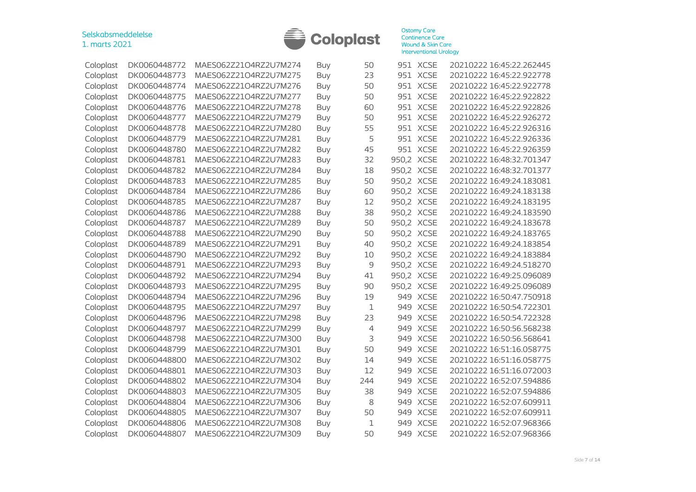

| Coloplast | DK0060448772 | MAES062Z21O4RZ2U7M274 | Buy        | 50          |            | 951 XCSE    | 20210222 16:45:22.262445 |
|-----------|--------------|-----------------------|------------|-------------|------------|-------------|--------------------------|
| Coloplast | DK0060448773 | MAES062Z21O4RZ2U7M275 | Buy        | 23          | 951        | <b>XCSE</b> | 20210222 16:45:22.922778 |
| Coloplast | DK0060448774 | MAES062Z21O4RZ2U7M276 | Buy        | 50          | 951        | <b>XCSE</b> | 20210222 16:45:22.922778 |
| Coloplast | DK0060448775 | MAES062Z21O4RZ2U7M277 | Buy        | 50          |            | 951 XCSE    | 20210222 16:45:22.922822 |
| Coloplast | DK0060448776 | MAES062Z21O4RZ2U7M278 | Buy        | 60          | 951        | <b>XCSE</b> | 20210222 16:45:22.922826 |
| Coloplast | DK0060448777 | MAES062Z21O4RZ2U7M279 | <b>Buy</b> | 50          | 951        | <b>XCSE</b> | 20210222 16:45:22.926272 |
| Coloplast | DK0060448778 | MAES062Z21O4RZ2U7M280 | <b>Buy</b> | 55          | 951        | <b>XCSE</b> | 20210222 16:45:22.926316 |
| Coloplast | DK0060448779 | MAES062Z21O4RZ2U7M281 | <b>Buy</b> | 5           | 951        | <b>XCSE</b> | 20210222 16:45:22.926336 |
| Coloplast | DK0060448780 | MAES062Z21O4RZ2U7M282 | <b>Buy</b> | 45          | 951        | <b>XCSE</b> | 20210222 16:45:22.926359 |
| Coloplast | DK0060448781 | MAES062Z21O4RZ2U7M283 | <b>Buy</b> | 32          | 950,2      | <b>XCSE</b> | 20210222 16:48:32.701347 |
| Coloplast | DK0060448782 | MAES062Z21O4RZ2U7M284 | <b>Buy</b> | 18          | 950,2      | <b>XCSE</b> | 20210222 16:48:32.701377 |
| Coloplast | DK0060448783 | MAES062Z21O4RZ2U7M285 | <b>Buy</b> | 50          | 950,2      | <b>XCSE</b> | 20210222 16:49:24.183081 |
| Coloplast | DK0060448784 | MAES062Z21O4RZ2U7M286 | <b>Buy</b> | 60          | 950,2      | <b>XCSE</b> | 20210222 16:49:24.183138 |
| Coloplast | DK0060448785 | MAES062Z21O4RZ2U7M287 | <b>Buy</b> | 12          | 950,2      | <b>XCSE</b> | 20210222 16:49:24.183195 |
| Coloplast | DK0060448786 | MAES062Z21O4RZ2U7M288 | <b>Buy</b> | 38          | 950,2      | <b>XCSE</b> | 20210222 16:49:24.183590 |
| Coloplast | DK0060448787 | MAES062Z21O4RZ2U7M289 | Buy        | 50          | 950,2      | <b>XCSE</b> | 20210222 16:49:24.183678 |
| Coloplast | DK0060448788 | MAES062Z21O4RZ2U7M290 | Buy        | 50          | 950,2      | <b>XCSE</b> | 20210222 16:49:24.183765 |
| Coloplast | DK0060448789 | MAES062Z21O4RZ2U7M291 | Buy        | 40          | 950,2 XCSE |             | 20210222 16:49:24.183854 |
| Coloplast | DK0060448790 | MAES062Z21O4RZ2U7M292 | Buy        | 10          | 950,2      | <b>XCSE</b> | 20210222 16:49:24.183884 |
| Coloplast | DK0060448791 | MAES062Z21O4RZ2U7M293 | <b>Buy</b> | 9           | 950,2      | <b>XCSE</b> | 20210222 16:49:24.518270 |
| Coloplast | DK0060448792 | MAES062Z21O4RZ2U7M294 | <b>Buy</b> | 41          | 950,2      | <b>XCSE</b> | 20210222 16:49:25.096089 |
| Coloplast | DK0060448793 | MAES062Z21O4RZ2U7M295 | <b>Buy</b> | 90          | 950,2      | <b>XCSE</b> | 20210222 16:49:25.096089 |
| Coloplast | DK0060448794 | MAES062Z21O4RZ2U7M296 | <b>Buy</b> | 19          | 949        | <b>XCSE</b> | 20210222 16:50:47.750918 |
| Coloplast | DK0060448795 | MAES062Z21O4RZ2U7M297 | <b>Buy</b> | $\mathbf 1$ | 949        | <b>XCSE</b> | 20210222 16:50:54.722301 |
| Coloplast | DK0060448796 | MAES062Z21O4RZ2U7M298 | <b>Buy</b> | 23          | 949        | <b>XCSE</b> | 20210222 16:50:54.722328 |
| Coloplast | DK0060448797 | MAES062Z21O4RZ2U7M299 | <b>Buy</b> | 4           | 949        | <b>XCSE</b> | 20210222 16:50:56.568238 |
| Coloplast | DK0060448798 | MAES062Z21O4RZ2U7M300 | <b>Buy</b> | 3           | 949        | <b>XCSE</b> | 20210222 16:50:56.568641 |
| Coloplast | DK0060448799 | MAES062Z21O4RZ2U7M301 | <b>Buy</b> | 50          | 949        | <b>XCSE</b> | 20210222 16:51:16.058775 |
| Coloplast | DK0060448800 | MAES062Z21O4RZ2U7M302 | <b>Buy</b> | 14          | 949        | <b>XCSE</b> | 20210222 16:51:16.058775 |
| Coloplast | DK0060448801 | MAES062Z21O4RZ2U7M303 | <b>Buy</b> | 12          | 949        | <b>XCSE</b> | 20210222 16:51:16.072003 |
| Coloplast | DK0060448802 | MAES062Z21O4RZ2U7M304 | <b>Buy</b> | 244         | 949        | <b>XCSE</b> | 20210222 16:52:07.594886 |
| Coloplast | DK0060448803 | MAES062Z21O4RZ2U7M305 | Buy        | 38          | 949        | <b>XCSE</b> | 20210222 16:52:07.594886 |
| Coloplast | DK0060448804 | MAES062Z21O4RZ2U7M306 | Buy        | 8           | 949        | <b>XCSE</b> | 20210222 16:52:07.609911 |
| Coloplast | DK0060448805 | MAES062Z21O4RZ2U7M307 | Buy        | 50          | 949        | <b>XCSE</b> | 20210222 16:52:07.609911 |
| Coloplast | DK0060448806 | MAES062Z21O4RZ2U7M308 | <b>Buy</b> | $\mathbf 1$ | 949        | <b>XCSE</b> | 20210222 16:52:07.968366 |
| Coloplast | DK0060448807 | MAES062Z21O4RZ2U7M309 | Buy        | 50          | 949        | <b>XCSE</b> | 20210222 16:52:07.968366 |
|           |              |                       |            |             |            |             |                          |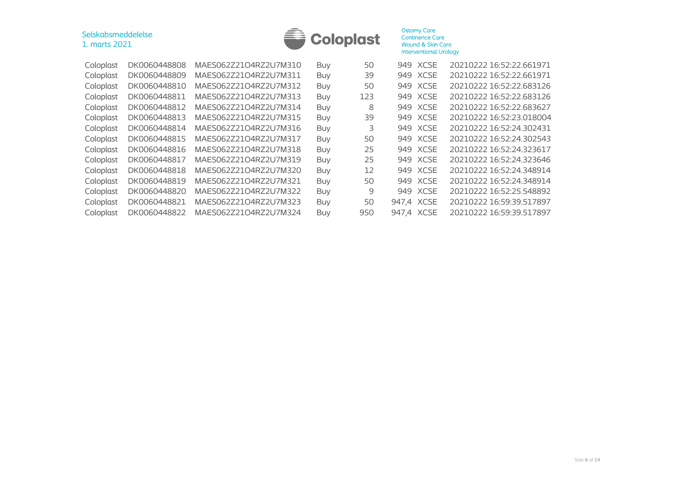| 1. marts 2021 | Selskabsmeddelelse<br><b>Coloplast</b> |                       |            | <b>Ostomy Care</b><br><b>Continence Care</b><br><b>Wound &amp; Skin Care</b><br><b>Interventional Urology</b> |            |             |                          |
|---------------|----------------------------------------|-----------------------|------------|---------------------------------------------------------------------------------------------------------------|------------|-------------|--------------------------|
| Coloplast     | DK0060448808                           | MAES062Z21O4RZ2U7M310 | Buy        | 50                                                                                                            |            | 949 XCSE    | 20210222 16:52:22.661971 |
| Coloplast     | DK0060448809                           | MAES062Z21O4RZ2U7M311 | Buy        | 39                                                                                                            | 949        | <b>XCSE</b> | 20210222 16:52:22.661971 |
| Coloplast     | DK0060448810                           | MAES062Z21O4RZ2U7M312 | Buy        | 50                                                                                                            | 949        | XCSE        | 20210222 16:52:22.683126 |
| Coloplast     | DK0060448811                           | MAES062Z21O4RZ2U7M313 | Buy        | 123                                                                                                           |            | 949 XCSE    | 20210222 16:52:22.683126 |
| Coloplast     | DK0060448812                           | MAES062Z21O4RZ2U7M314 | Buy        | 8                                                                                                             |            | 949 XCSE    | 20210222 16:52:22.683627 |
| Coloplast     | DK0060448813                           | MAES062Z21O4RZ2U7M315 | Buy        | 39                                                                                                            |            | 949 XCSE    | 20210222 16:52:23.018004 |
| Coloplast     | DK0060448814                           | MAES062Z21O4RZ2U7M316 | Buy        | 3                                                                                                             | 949        | <b>XCSE</b> | 20210222 16:52:24.302431 |
| Coloplast     | DK0060448815                           | MAES062Z21O4RZ2U7M317 | Buy        | 50                                                                                                            | 949        | <b>XCSE</b> | 20210222 16:52:24.302543 |
| Coloplast     | DK0060448816                           | MAES062Z21O4RZ2U7M318 | Buy        | 25                                                                                                            | 949        | <b>XCSE</b> | 20210222 16:52:24.323617 |
| Coloplast     | DK0060448817                           | MAES062Z21O4RZ2U7M319 | Buy        | 25                                                                                                            | 949        | <b>XCSE</b> | 20210222 16:52:24.323646 |
| Coloplast     | DK0060448818                           | MAES062Z21O4RZ2U7M320 | Buy        | 12                                                                                                            | 949        | <b>XCSE</b> | 20210222 16:52:24.348914 |
| Coloplast     | DK0060448819                           | MAES062Z21O4RZ2U7M321 | Buy        | 50                                                                                                            | 949        | <b>XCSE</b> | 20210222 16:52:24.348914 |
| Coloplast     | DK0060448820                           | MAES062Z21O4RZ2U7M322 | Buy        | 9                                                                                                             | 949        | <b>XCSE</b> | 20210222 16:52:25.548892 |
| Coloplast     | DK0060448821                           | MAES062Z21O4RZ2U7M323 | <b>Buy</b> | 50                                                                                                            | 947,4 XCSE |             | 20210222 16:59:39.517897 |
| Coloplast     | DK0060448822                           | MAES062Z21O4RZ2U7M324 | Buy        | 950                                                                                                           | 947,4 XCSE |             | 20210222 16:59:39.517897 |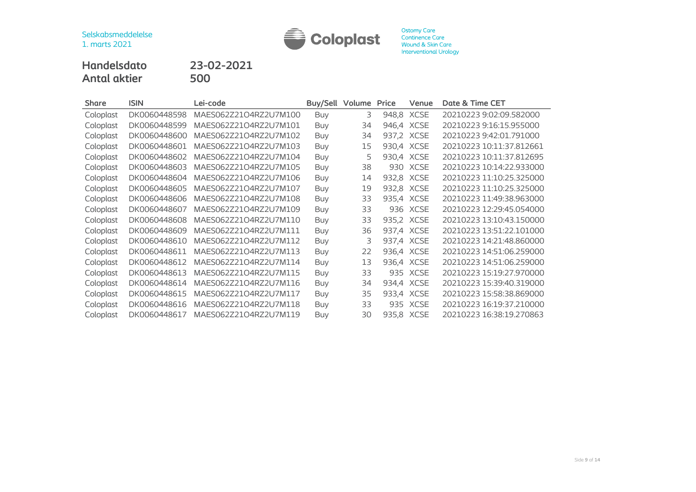

**Handelsdato 23-02-2021 Antal aktier 500**

| <b>Share</b> | <b>ISIN</b>  | Lei-code              | Buy/Sell Volume |    | Price | Venue       | Date & Time CET          |
|--------------|--------------|-----------------------|-----------------|----|-------|-------------|--------------------------|
| Coloplast    | DK0060448598 | MAES062Z21O4RZ2U7M100 | <b>Buy</b>      | 3  | 948,8 | <b>XCSE</b> | 20210223 9:02:09.582000  |
| Coloplast    | DK0060448599 | MAES062Z21O4RZ2U7M101 | Buy             | 34 |       | 946,4 XCSE  | 20210223 9:16:15.955000  |
| Coloplast    | DK0060448600 | MAES062Z21O4RZ2U7M102 | <b>Buy</b>      | 34 |       | 937,2 XCSE  | 20210223 9:42:01.791000  |
| Coloplast    | DK0060448601 | MAES062Z21O4RZ2U7M103 | <b>Buy</b>      | 15 |       | 930,4 XCSE  | 20210223 10:11:37.812661 |
| Coloplast    | DK0060448602 | MAES062Z21O4RZ2U7M104 | <b>Buy</b>      | 5  |       | 930,4 XCSE  | 20210223 10:11:37.812695 |
| Coloplast    | DK0060448603 | MAES062Z21O4RZ2U7M105 | Buy             | 38 |       | 930 XCSE    | 20210223 10:14:22.933000 |
| Coloplast    | DK0060448604 | MAES062Z21O4RZ2U7M106 | Buy             | 14 |       | 932,8 XCSE  | 20210223 11:10:25.325000 |
| Coloplast    | DK0060448605 | MAES062Z21O4RZ2U7M107 | <b>Buy</b>      | 19 |       | 932,8 XCSE  | 20210223 11:10:25.325000 |
| Coloplast    | DK0060448606 | MAES062Z21O4RZ2U7M108 | <b>Buy</b>      | 33 |       | 935,4 XCSE  | 20210223 11:49:38.963000 |
| Coloplast    | DK0060448607 | MAES062Z21O4RZ2U7M109 | <b>Buy</b>      | 33 |       | 936 XCSE    | 20210223 12:29:45.054000 |
| Coloplast    | DK0060448608 | MAES062Z21O4RZ2U7M110 | Buy             | 33 |       | 935,2 XCSE  | 20210223 13:10:43.150000 |
| Coloplast    | DK0060448609 | MAES062Z21O4RZ2U7M111 | <b>Buy</b>      | 36 |       | 937,4 XCSE  | 20210223 13:51:22.101000 |
| Coloplast    | DK0060448610 | MAES062Z21O4RZ2U7M112 | <b>Buy</b>      | 3  |       | 937,4 XCSE  | 20210223 14:21:48.860000 |
| Coloplast    | DK0060448611 | MAES062Z21O4RZ2U7M113 | <b>Buy</b>      | 22 |       | 936,4 XCSE  | 20210223 14:51:06.259000 |
| Coloplast    | DK0060448612 | MAES062Z21O4RZ2U7M114 | <b>Buy</b>      | 13 |       | 936,4 XCSE  | 20210223 14:51:06.259000 |
| Coloplast    | DK0060448613 | MAES062Z21O4RZ2U7M115 | <b>Buy</b>      | 33 | 935   | <b>XCSE</b> | 20210223 15:19:27.970000 |
| Coloplast    | DK0060448614 | MAES062Z21O4RZ2U7M116 | <b>Buy</b>      | 34 |       | 934,4 XCSE  | 20210223 15:39:40.319000 |
| Coloplast    | DK0060448615 | MAES062Z21O4RZ2U7M117 | <b>Buy</b>      | 35 |       | 933,4 XCSE  | 20210223 15:58:38.869000 |
| Coloplast    | DK0060448616 | MAES062Z21O4RZ2U7M118 | <b>Buy</b>      | 33 |       | 935 XCSE    | 20210223 16:19:37.210000 |
| Coloplast    | DK0060448617 | MAES062Z21O4RZ2U7M119 | Buy             | 30 |       | 935,8 XCSE  | 20210223 16:38:19.270863 |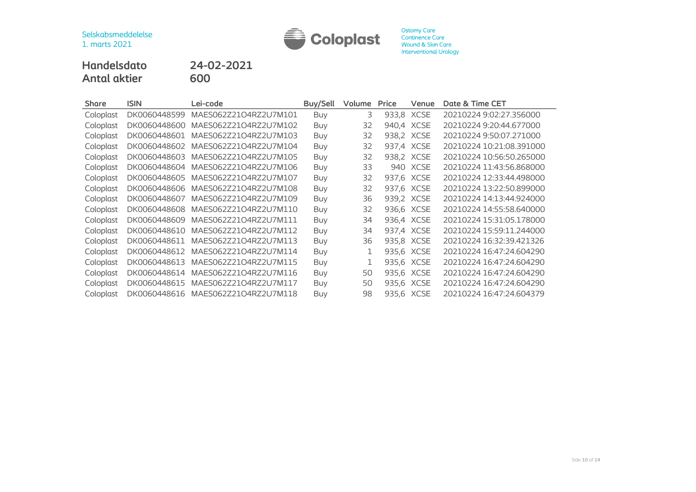

**Handelsdato 24-02-2021 Antal aktier 600**

| <b>Share</b> | <b>ISIN</b>  | Lei-code                           | Buy/Sell   | Volume | Price      | Venue      | Date & Time CET          |
|--------------|--------------|------------------------------------|------------|--------|------------|------------|--------------------------|
| Coloplast    | DK0060448599 | MAES062Z21O4RZ2U7M101              | <b>Buy</b> | 3      | 933,8 XCSE |            | 20210224 9:02:27.356000  |
| Coloplast    | DK0060448600 | MAES062Z21O4RZ2U7M102              | Buy        | 32     | 940,4 XCSE |            | 20210224 9:20:44.677000  |
| Coloplast    | DK0060448601 | MAES062Z21O4RZ2U7M103              | Buy        | 32     | 938,2 XCSE |            | 20210224 9:50:07.271000  |
| Coloplast    | DK0060448602 | MAES062Z21O4RZ2U7M104              | Buy        | 32     | 937,4 XCSE |            | 20210224 10:21:08.391000 |
| Coloplast    | DK0060448603 | MAES062Z21O4RZ2U7M105              | Buy        | 32     | 938,2 XCSE |            | 20210224 10:56:50.265000 |
| Coloplast    | DK0060448604 | MAES062Z21O4RZ2U7M106              | Buy        | 33     |            | 940 XCSE   | 20210224 11:43:56.868000 |
| Coloplast    | DK0060448605 | MAES062Z21O4RZ2U7M107              | Buy        | 32     | 937,6 XCSE |            | 20210224 12:33:44.498000 |
| Coloplast    | DK0060448606 | MAES062Z21O4RZ2U7M108              | Buy        | 32     | 937,6 XCSE |            | 20210224 13:22:50.899000 |
| Coloplast    | DK0060448607 | MAES062Z21O4RZ2U7M109              | Buy        | 36     | 939,2 XCSE |            | 20210224 14:13:44.924000 |
| Coloplast    | DK0060448608 | MAES062Z21O4RZ2U7M110              | Buy        | 32     |            | 936,6 XCSE | 20210224 14:55:58.640000 |
| Coloplast    | DK0060448609 | MAES062Z21O4RZ2U7M111              | Buy        | 34     | 936,4 XCSE |            | 20210224 15:31:05.178000 |
| Coloplast    | DK0060448610 | MAES062Z21O4RZ2U7M112              | <b>Buy</b> | 34     | 937,4 XCSE |            | 20210224 15:59:11.244000 |
| Coloplast    | DK0060448611 | MAES062Z21O4RZ2U7M113              | <b>Buy</b> | 36     | 935,8 XCSE |            | 20210224 16:32:39.421326 |
| Coloplast    | DK0060448612 | MAES062Z21O4RZ2U7M114              | Buy        |        | 935,6 XCSE |            | 20210224 16:47:24.604290 |
| Coloplast    | DK0060448613 | MAES062Z21O4RZ2U7M115              | <b>Buy</b> |        | 935,6 XCSE |            | 20210224 16:47:24.604290 |
| Coloplast    | DK0060448614 | MAES062Z21O4RZ2U7M116              | <b>Buy</b> | 50     | 935,6 XCSE |            | 20210224 16:47:24.604290 |
| Coloplast    | DK0060448615 | MAES062Z21O4RZ2U7M117              | <b>Buy</b> | 50     | 935,6 XCSE |            | 20210224 16:47:24.604290 |
| Coloplast    |              | DK0060448616 MAES062Z21O4RZ2U7M118 | <b>Buy</b> | 98     |            | 935,6 XCSE | 20210224 16:47:24.604379 |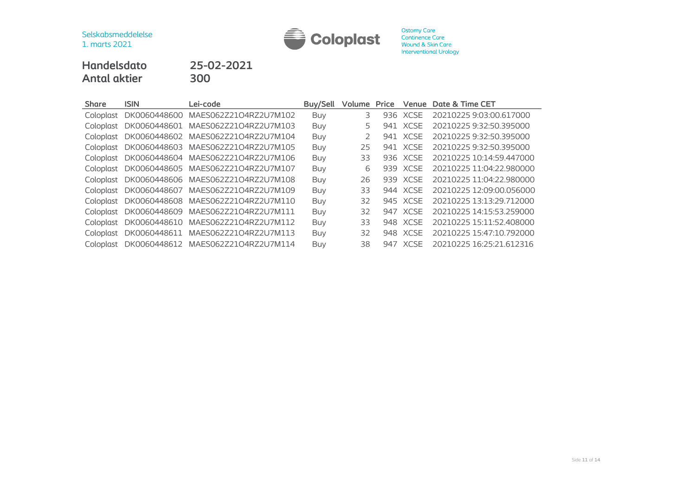

# **Handelsdato 25-02-2021 Antal aktier 300**

| <b>Share</b> | <b>ISIN</b>  | Lei-code                           | Buy/Sell   | <b>Volume Price</b> |     | Venue       | Date & Time CET          |
|--------------|--------------|------------------------------------|------------|---------------------|-----|-------------|--------------------------|
| Coloplast    | DK0060448600 | MAES062Z21O4RZ2U7M102              | <b>Buy</b> | 3                   | 936 | <b>XCSE</b> | 20210225 9:03:00.617000  |
| Coloplast    |              | DK0060448601 MAES062Z21O4RZ2U7M103 | <b>Buy</b> | 5                   |     | 941 XCSE    | 20210225 9:32:50.395000  |
| Coloplast    |              | DK0060448602 MAES062Z21O4RZ2U7M104 | <b>Buy</b> | 2                   |     | 941 XCSE    | 20210225 9:32:50.395000  |
| Coloplast    |              | DK0060448603 MAES062Z21O4RZ2U7M105 | Buy        | 25                  |     | 941 XCSE    | 20210225 9:32:50.395000  |
| Coloplast    |              | DK0060448604 MAES062Z21O4RZ2U7M106 | Buy        | 33                  |     | 936 XCSE    | 20210225 10:14:59.447000 |
| Coloplast    |              | DK0060448605 MAES062Z21O4RZ2U7M107 | <b>Buy</b> | 6                   |     | 939 XCSE    | 20210225 11:04:22.980000 |
| Coloplast    |              | DK0060448606 MAES062Z21O4RZ2U7M108 | Buy        | 26                  |     | 939 XCSE    | 20210225 11:04:22.980000 |
| Coloplast    |              | DK0060448607 MAES062Z21O4RZ2U7M109 | <b>Buy</b> | 33                  |     | 944 XCSE    | 20210225 12:09:00.056000 |
| Coloplast    | DK0060448608 | MAES062Z21O4RZ2U7M110              | <b>Buy</b> | 32                  |     | 945 XCSE    | 20210225 13:13:29.712000 |
| Coloplast    | DK0060448609 | MAES062Z21O4RZ2U7M111              | <b>Buy</b> | 32                  |     | 947 XCSE    | 20210225 14:15:53.259000 |
| Coloplast    | DK0060448610 | MAES062Z21O4RZ2U7M112              | Buy        | 33                  |     | 948 XCSE    | 20210225 15:11:52.408000 |
| Coloplast    | DK0060448611 | MAES062Z21O4RZ2U7M113              | <b>Buy</b> | 32                  |     | 948 XCSE    | 20210225 15:47:10.792000 |
| Coloplast    |              | DK0060448612 MAES062Z21O4RZ2U7M114 | <b>Buy</b> | 38                  |     | 947 XCSE    | 20210225 16:25:21.612316 |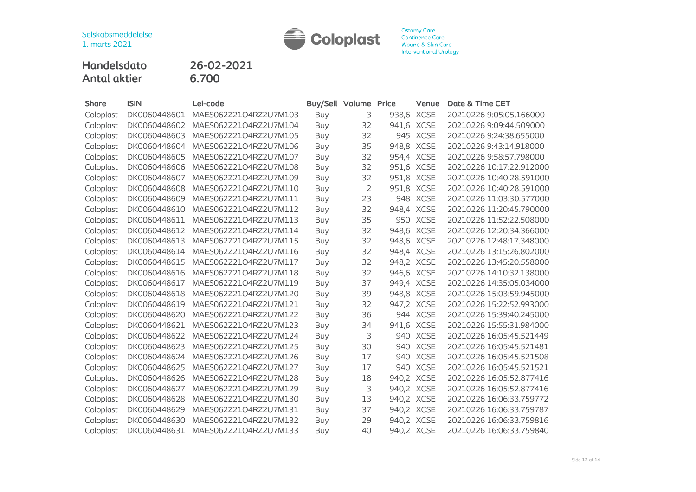

**Handelsdato 26-02-2021 Antal aktier 6.700**

| Share     | <b>ISIN</b>  | Lei-code              | Buy/Sell Volume |                | Price      | Venue       | Date & Time CET          |
|-----------|--------------|-----------------------|-----------------|----------------|------------|-------------|--------------------------|
| Coloplast | DK0060448601 | MAES062Z21O4RZ2U7M103 | Buy             | 3              |            | 938,6 XCSE  | 20210226 9:05:05.166000  |
| Coloplast | DK0060448602 | MAES062Z21O4RZ2U7M104 | Buy             | 32             |            | 941,6 XCSE  | 20210226 9:09:44.509000  |
| Coloplast | DK0060448603 | MAES062Z21O4RZ2U7M105 | Buy             | 32             | 945        | <b>XCSE</b> | 20210226 9:24:38.655000  |
| Coloplast | DK0060448604 | MAES062Z21O4RZ2U7M106 | Buy             | 35             | 948,8      | <b>XCSE</b> | 20210226 9:43:14.918000  |
| Coloplast | DK0060448605 | MAES062Z21O4RZ2U7M107 | Buy             | 32             | 954,4      | <b>XCSE</b> | 20210226 9:58:57.798000  |
| Coloplast | DK0060448606 | MAES062Z21O4RZ2U7M108 | <b>Buy</b>      | 32             | 951,6      | <b>XCSE</b> | 20210226 10:17:22.912000 |
| Coloplast | DK0060448607 | MAES062Z21O4RZ2U7M109 | Buy             | 32             |            | 951,8 XCSE  | 20210226 10:40:28.591000 |
| Coloplast | DK0060448608 | MAES062Z21O4RZ2U7M110 | <b>Buy</b>      | $\overline{2}$ |            | 951,8 XCSE  | 20210226 10:40:28.591000 |
| Coloplast | DK0060448609 | MAES062Z21O4RZ2U7M111 | Buy             | 23             | 948        | <b>XCSE</b> | 20210226 11:03:30.577000 |
| Coloplast | DK0060448610 | MAES062Z21O4RZ2U7M112 | <b>Buy</b>      | 32             |            | 948,4 XCSE  | 20210226 11:20:45.790000 |
| Coloplast | DK0060448611 | MAES062Z21O4RZ2U7M113 | Buy             | 35             | 950        | <b>XCSE</b> | 20210226 11:52:22.508000 |
| Coloplast | DK0060448612 | MAES062Z21O4RZ2U7M114 | Buy             | 32             | 948,6      | <b>XCSE</b> | 20210226 12:20:34.366000 |
| Coloplast | DK0060448613 | MAES062Z21O4RZ2U7M115 | Buy             | 32             |            | 948,6 XCSE  | 20210226 12:48:17.348000 |
| Coloplast | DK0060448614 | MAES062Z21O4RZ2U7M116 | Buy             | 32             |            | 948,4 XCSE  | 20210226 13:15:26.802000 |
| Coloplast | DK0060448615 | MAES062Z21O4RZ2U7M117 | Buy             | 32             | 948,2      | <b>XCSE</b> | 20210226 13:45:20.558000 |
| Coloplast | DK0060448616 | MAES062Z21O4RZ2U7M118 | Buy             | 32             |            | 946,6 XCSE  | 20210226 14:10:32.138000 |
| Coloplast | DK0060448617 | MAES062Z21O4RZ2U7M119 | Buy             | 37             |            | 949,4 XCSE  | 20210226 14:35:05.034000 |
| Coloplast | DK0060448618 | MAES062Z21O4RZ2U7M120 | Buy             | 39             |            | 948,8 XCSE  | 20210226 15:03:59.945000 |
| Coloplast | DK0060448619 | MAES062Z21O4RZ2U7M121 | Buy             | 32             |            | 947,2 XCSE  | 20210226 15:22:52.993000 |
| Coloplast | DK0060448620 | MAES062Z21O4RZ2U7M122 | Buy             | 36             |            | 944 XCSE    | 20210226 15:39:40.245000 |
| Coloplast | DK0060448621 | MAES062Z21O4RZ2U7M123 | <b>Buy</b>      | 34             | 941,6      | <b>XCSE</b> | 20210226 15:55:31.984000 |
| Coloplast | DK0060448622 | MAES062Z21O4RZ2U7M124 | Buy             | 3              |            | 940 XCSE    | 20210226 16:05:45.521449 |
| Coloplast | DK0060448623 | MAES062Z21O4RZ2U7M125 | <b>Buy</b>      | 30             | 940        | <b>XCSE</b> | 20210226 16:05:45.521481 |
| Coloplast | DK0060448624 | MAES062Z21O4RZ2U7M126 | <b>Buy</b>      | 17             | 940        | <b>XCSE</b> | 20210226 16:05:45.521508 |
| Coloplast | DK0060448625 | MAES062Z21O4RZ2U7M127 | Buy             | 17             | 940        | <b>XCSE</b> | 20210226 16:05:45.521521 |
| Coloplast | DK0060448626 | MAES062Z21O4RZ2U7M128 | Buy             | 18             | 940,2 XCSE |             | 20210226 16:05:52.877416 |
| Coloplast | DK0060448627 | MAES062Z21O4RZ2U7M129 | Buy             | 3              |            | 940,2 XCSE  | 20210226 16:05:52.877416 |
| Coloplast | DK0060448628 | MAES062Z21O4RZ2U7M130 | Buy             | 13             | 940,2      | <b>XCSE</b> | 20210226 16:06:33.759772 |
| Coloplast | DK0060448629 | MAES062Z21O4RZ2U7M131 | Buy             | 37             | 940,2      | <b>XCSE</b> | 20210226 16:06:33.759787 |
| Coloplast | DK0060448630 | MAES062Z21O4RZ2U7M132 | <b>Buy</b>      | 29             |            | 940,2 XCSE  | 20210226 16:06:33.759816 |
| Coloplast | DK0060448631 | MAES062Z21O4RZ2U7M133 | <b>Buv</b>      | 40             | 940,2 XCSE |             | 20210226 16:06:33.759840 |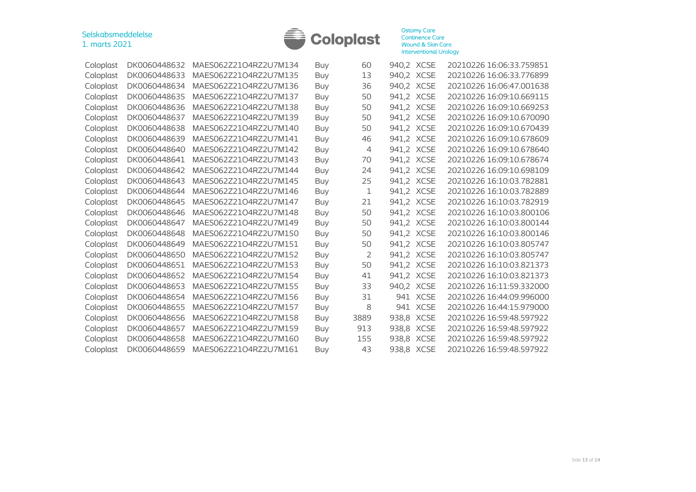

| Coloplast | DK0060448632 | MAES062Z21O4RZ2U7M134 | Buy        | 60             | 940,2 XCSE |             | 20210226 16:06:33.759851 |
|-----------|--------------|-----------------------|------------|----------------|------------|-------------|--------------------------|
| Coloplast | DK0060448633 | MAES062Z21O4RZ2U7M135 | <b>Buy</b> | 13             | 940,2 XCSE |             | 20210226 16:06:33.776899 |
| Coloplast | DK0060448634 | MAES062Z21O4RZ2U7M136 | Buy        | 36             | 940,2 XCSE |             | 20210226 16:06:47.001638 |
| Coloplast | DK0060448635 | MAES062Z21O4RZ2U7M137 | Buy        | 50             | 941,2 XCSE |             | 20210226 16:09:10.669115 |
| Coloplast | DK0060448636 | MAES062Z21O4RZ2U7M138 | <b>Buy</b> | 50             | 941,2 XCSE |             | 20210226 16:09:10.669253 |
| Coloplast | DK0060448637 | MAES062Z21O4RZ2U7M139 | <b>Buy</b> | 50             | 941,2 XCSE |             | 20210226 16:09:10.670090 |
| Coloplast | DK0060448638 | MAES062Z21O4RZ2U7M140 | <b>Buy</b> | 50             | 941,2 XCSE |             | 20210226 16:09:10.670439 |
| Coloplast | DK0060448639 | MAES062Z21O4RZ2U7M141 | <b>Buy</b> | 46             | 941,2 XCSE |             | 20210226 16:09:10.678609 |
| Coloplast | DK0060448640 | MAES062Z21O4RZ2U7M142 | <b>Buy</b> | $\overline{4}$ | 941,2 XCSE |             | 20210226 16:09:10.678640 |
| Coloplast | DK0060448641 | MAES062Z21O4RZ2U7M143 | Buy        | 70             | 941,2 XCSE |             | 20210226 16:09:10.678674 |
| Coloplast | DK0060448642 | MAES062Z21O4RZ2U7M144 | <b>Buy</b> | 24             | 941,2      | <b>XCSE</b> | 20210226 16:09:10.698109 |
| Coloplast | DK0060448643 | MAES062Z21O4RZ2U7M145 | <b>Buy</b> | 25             | 941,2 XCSE |             | 20210226 16:10:03.782881 |
| Coloplast | DK0060448644 | MAES062Z21O4RZ2U7M146 | <b>Buy</b> | 1              | 941,2 XCSE |             | 20210226 16:10:03.782889 |
| Coloplast | DK0060448645 | MAES062Z21O4RZ2U7M147 | <b>Buy</b> | 21             | 941,2 XCSE |             | 20210226 16:10:03.782919 |
| Coloplast | DK0060448646 | MAES062Z21O4RZ2U7M148 | Buy        | 50             | 941,2 XCSE |             | 20210226 16:10:03.800106 |
| Coloplast | DK0060448647 | MAES062Z21O4RZ2U7M149 | Buy        | 50             | 941,2 XCSE |             | 20210226 16:10:03.800144 |
| Coloplast | DK0060448648 | MAES062Z21O4RZ2U7M150 | <b>Buy</b> | 50             | 941,2      | <b>XCSE</b> | 20210226 16:10:03.800146 |
| Coloplast | DK0060448649 | MAES062Z21O4RZ2U7M151 | Buy        | 50             | 941,2 XCSE |             | 20210226 16:10:03.805747 |
| Coloplast | DK0060448650 | MAES062Z21O4RZ2U7M152 | Buy        | 2              | 941,2 XCSE |             | 20210226 16:10:03.805747 |
| Coloplast | DK0060448651 | MAES062Z21O4RZ2U7M153 | Buy        | 50             | 941,2 XCSE |             | 20210226 16:10:03.821373 |
| Coloplast | DK0060448652 | MAES062Z21O4RZ2U7M154 | <b>Buy</b> | 41             | 941,2 XCSE |             | 20210226 16:10:03.821373 |
| Coloplast | DK0060448653 | MAES062Z21O4RZ2U7M155 | <b>Buy</b> | 33             | 940,2 XCSE |             | 20210226 16:11:59.332000 |
| Coloplast | DK0060448654 | MAES062Z21O4RZ2U7M156 | <b>Buy</b> | 31             |            | 941 XCSE    | 20210226 16:44:09.996000 |
| Coloplast | DK0060448655 | MAES062Z21O4RZ2U7M157 | <b>Buy</b> | 8              | 941        | <b>XCSE</b> | 20210226 16:44:15.979000 |
| Coloplast | DK0060448656 | MAES062Z21O4RZ2U7M158 | <b>Buy</b> | 3889           | 938,8      | <b>XCSE</b> | 20210226 16:59:48.597922 |
| Coloplast | DK0060448657 | MAES062Z21O4RZ2U7M159 | <b>Buy</b> | 913            | 938,8      | <b>XCSE</b> | 20210226 16:59:48.597922 |
| Coloplast | DK0060448658 | MAES062Z21O4RZ2U7M160 | <b>Buy</b> | 155            | 938,8      | <b>XCSE</b> | 20210226 16:59:48.597922 |
| Coloplast | DK0060448659 | MAES062Z21O4RZ2U7M161 | Buy        | 43             | 938,8 XCSE |             | 20210226 16:59:48.597922 |